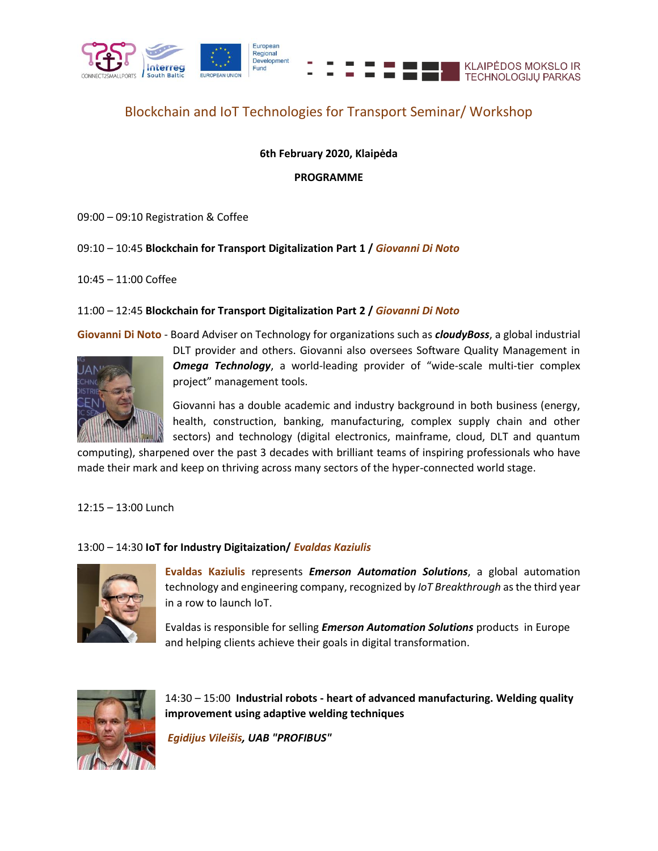

## Blockchain and IoT Technologies for Transport Seminar/ Workshop

## **6th February 2020, Klaipėda**

**PROGRAMME**

09:00 – 09:10 Registration & Coffee

09:10 – 10:45 **Blockchain for Transport Digitalization Part 1 /** *Giovanni Di Noto*

10:45 – 11:00 Coffee

## 11:00 – 12:45 **Blockchain for Transport Digitalization Part 2 /** *Giovanni Di Noto*

**Giovanni Di Noto** - Board Adviser on Technology for organizations such as *cloudyBoss*, a global industrial



DLT provider and others. Giovanni also oversees Software Quality Management in *Omega Technology*, a world-leading provider of "wide-scale multi-tier complex project" management tools.

Giovanni has a double academic and industry background in both business (energy, health, construction, banking, manufacturing, complex supply chain and other sectors) and technology (digital electronics, mainframe, cloud, DLT and quantum

computing), sharpened over the past 3 decades with brilliant teams of inspiring professionals who have made their mark and keep on thriving across many sectors of the hyper-connected world stage.

12:15 – 13:00 Lunch

## 13:00 – 14:30 **IoT for Industry Digitaization/** *Evaldas Kaziulis*



**Evaldas Kaziulis** represents *Emerson Automation Solutions*, a global automation technology and engineering company, recognized by *IoT Breakthrough* as the third year in a row to launch IoT.

Evaldas is responsible for selling *Emerson Automation Solutions* products in Europe and helping clients achieve their goals in digital transformation.



14:30 – 15:00 **Industrial robots - heart of advanced manufacturing. Welding quality improvement using adaptive welding techniques**

*Egidijus Vileišis, UAB "PROFIBUS"*